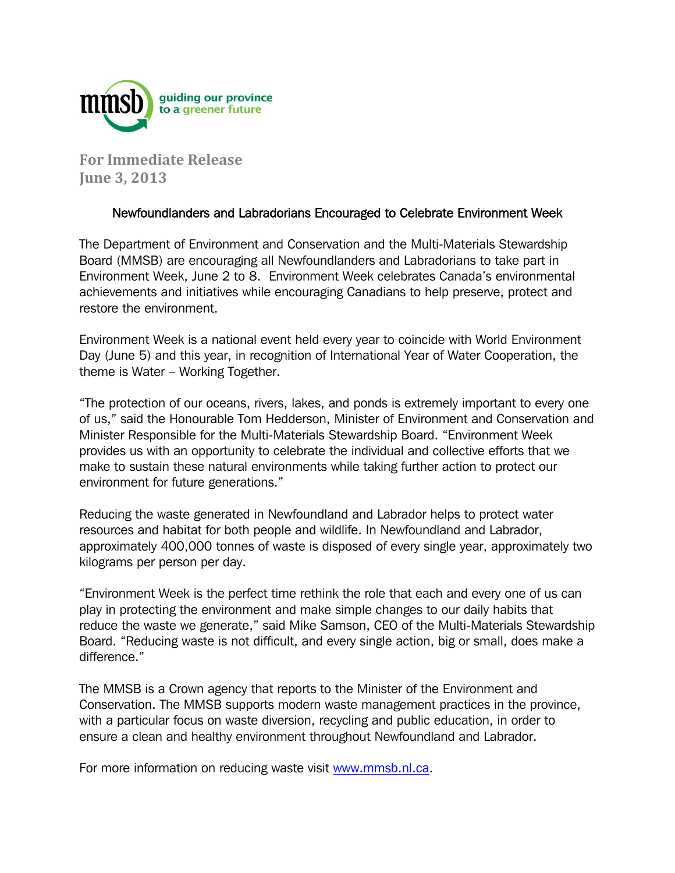

**For Immediate Release June 3, 2013**

## Newfoundlanders and Labradorians Encouraged to Celebrate Environment Week

The Department of Environment and Conservation and the Multi-Materials Stewardship Board (MMSB) are encouraging all Newfoundlanders and Labradorians to take part in Environment Week, June 2 to 8. Environment Week celebrates Canada's environmental achievements and initiatives while encouraging Canadians to help preserve, protect and restore the environment.

Environment Week is a national event held every year to coincide with World Environment Day (June 5) and this year, in recognition of International Year of Water Cooperation, the theme is Water – Working Together.

"The protection of our oceans, rivers, lakes, and ponds is extremely important to every one of us," said the Honourable Tom Hedderson, Minister of Environment and Conservation and Minister Responsible for the Multi-Materials Stewardship Board. "Environment Week provides us with an opportunity to celebrate the individual and collective efforts that we make to sustain these natural environments while taking further action to protect our environment for future generations."

Reducing the waste generated in Newfoundland and Labrador helps to protect water resources and habitat for both people and wildlife. In Newfoundland and Labrador, approximately 400,000 tonnes of waste is disposed of every single year, approximately two kilograms per person per day.

"Environment Week is the perfect time rethink the role that each and every one of us can play in protecting the environment and make simple changes to our daily habits that reduce the waste we generate," said Mike Samson, CEO of the Multi-Materials Stewardship Board. "Reducing waste is not difficult, and every single action, big or small, does make a difference."

The MMSB is a Crown agency that reports to the Minister of the Environment and Conservation. The MMSB supports modern waste management practices in the province, with a particular focus on waste diversion, recycling and public education, in order to ensure a clean and healthy environment throughout Newfoundland and Labrador.

For more information on reducing waste visit www.mmsb.nl.ca.